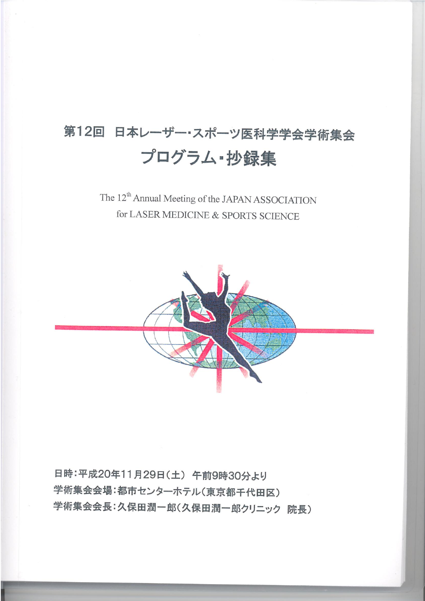## 第12回 日本レーザー・スポーツ医科学学会学術集会 プログラム·抄録集

## The 12<sup>th</sup> Annual Meeting of the JAPAN ASSOCIATION for LASER MEDICINE & SPORTS SCIENCE



日時:平成20年11月29日(土) 午前9時30分より 学術集会会場:都市センターホテル(東京都千代田区) 学術集会会長:久保田潤一郎(久保田潤一郎クリニック 院長)